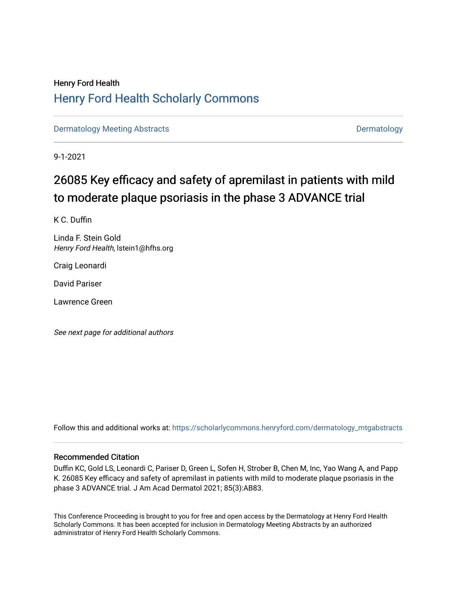## Henry Ford Health [Henry Ford Health Scholarly Commons](https://scholarlycommons.henryford.com/)

[Dermatology Meeting Abstracts](https://scholarlycommons.henryford.com/dermatology_mtgabstracts) and the control of the [Dermatology](https://scholarlycommons.henryford.com/dermatology) Dermatology

9-1-2021

# 26085 Key efficacy and safety of apremilast in patients with mild to moderate plaque psoriasis in the phase 3 ADVANCE trial

K C. Duffin

Linda F. Stein Gold Henry Ford Health, lstein1@hfhs.org

Craig Leonardi

David Pariser

Lawrence Green

See next page for additional authors

Follow this and additional works at: [https://scholarlycommons.henryford.com/dermatology\\_mtgabstracts](https://scholarlycommons.henryford.com/dermatology_mtgabstracts?utm_source=scholarlycommons.henryford.com%2Fdermatology_mtgabstracts%2F162&utm_medium=PDF&utm_campaign=PDFCoverPages) 

## Recommended Citation

Duffin KC, Gold LS, Leonardi C, Pariser D, Green L, Sofen H, Strober B, Chen M, Inc, Yao Wang A, and Papp K. 26085 Key efficacy and safety of apremilast in patients with mild to moderate plaque psoriasis in the phase 3 ADVANCE trial. J Am Acad Dermatol 2021; 85(3):AB83.

This Conference Proceeding is brought to you for free and open access by the Dermatology at Henry Ford Health Scholarly Commons. It has been accepted for inclusion in Dermatology Meeting Abstracts by an authorized administrator of Henry Ford Health Scholarly Commons.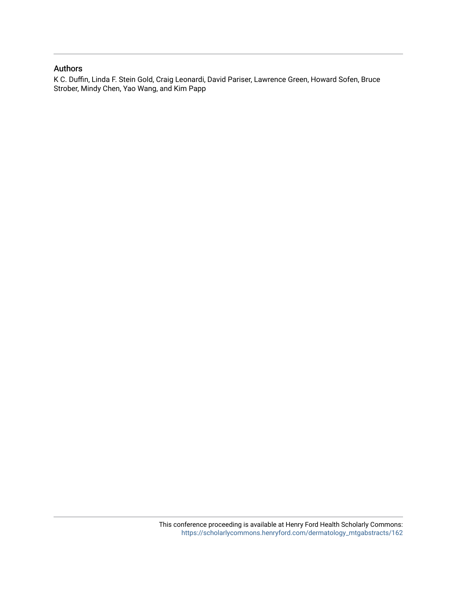## Authors

K C. Duffin, Linda F. Stein Gold, Craig Leonardi, David Pariser, Lawrence Green, Howard Sofen, Bruce Strober, Mindy Chen, Yao Wang, and Kim Papp